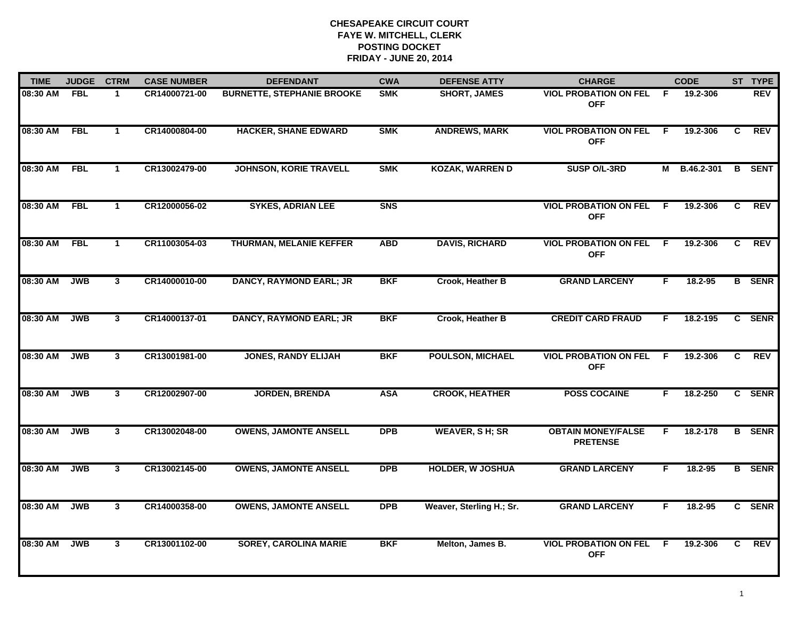| <b>TIME</b> | <b>JUDGE</b> | <b>CTRM</b>          | <b>CASE NUMBER</b> | <b>DEFENDANT</b>                  | <b>CWA</b>     | <b>DEFENSE ATTY</b>      | <b>CHARGE</b>                                |                | <b>CODE</b>  |    | ST TYPE       |
|-------------|--------------|----------------------|--------------------|-----------------------------------|----------------|--------------------------|----------------------------------------------|----------------|--------------|----|---------------|
| 08:30 AM    | <b>FBL</b>   | 1                    | CR14000721-00      | <b>BURNETTE, STEPHANIE BROOKE</b> | <b>SMK</b>     | <b>SHORT, JAMES</b>      | <b>VIOL PROBATION ON FEL</b><br><b>OFF</b>   | F.             | 19.2-306     |    | REV           |
| 08:30 AM    | <b>FBL</b>   | $\mathbf{1}$         | CR14000804-00      | <b>HACKER, SHANE EDWARD</b>       | <b>SMK</b>     | <b>ANDREWS, MARK</b>     | <b>VIOL PROBATION ON FEL</b><br><b>OFF</b>   | $\overline{F}$ | 19.2-306     | C  | <b>REV</b>    |
| 08:30 AM    | <b>FBL</b>   | $\mathbf{1}$         | CR13002479-00      | <b>JOHNSON, KORIE TRAVELL</b>     | <b>SMK</b>     | <b>KOZAK, WARREN D</b>   | SUSP O/L-3RD                                 |                | M B.46.2-301 | B  | <b>SENT</b>   |
| 08:30 AM    | <b>FBL</b>   | $\blacktriangleleft$ | CR12000056-02      | <b>SYKES, ADRIAN LEE</b>          | S <sub>N</sub> |                          | <b>VIOL PROBATION ON FEL</b><br><b>OFF</b>   | E              | 19.2-306     | C  | <b>REV</b>    |
| 08:30 AM    | <b>FBL</b>   | $\mathbf{1}$         | CR11003054-03      | <b>THURMAN, MELANIE KEFFER</b>    | <b>ABD</b>     | <b>DAVIS, RICHARD</b>    | <b>VIOL PROBATION ON FEL</b><br><b>OFF</b>   | -F             | 19.2-306     | C  | <b>REV</b>    |
| 08:30 AM    | <b>JWB</b>   | $\mathbf{3}$         | CR14000010-00      | <b>DANCY, RAYMOND EARL; JR</b>    | <b>BKF</b>     | Crook, Heather B         | <b>GRAND LARCENY</b>                         | F.             | 18.2-95      |    | <b>B</b> SENR |
| 08:30 AM    | <b>JWB</b>   | $\mathbf{3}$         | CR14000137-01      | <b>DANCY, RAYMOND EARL; JR</b>    | <b>BKF</b>     | Crook, Heather B         | <b>CREDIT CARD FRAUD</b>                     | F.             | 18.2-195     |    | C SENR        |
| 08:30 AM    | <b>JWB</b>   | 3                    | CR13001981-00      | <b>JONES, RANDY ELIJAH</b>        | <b>BKF</b>     | <b>POULSON, MICHAEL</b>  | <b>VIOL PROBATION ON FEL</b><br><b>OFF</b>   | F              | 19.2-306     | C. | <b>REV</b>    |
| 08:30 AM    | <b>JWB</b>   | $\mathbf{3}$         | CR12002907-00      | <b>JORDEN, BRENDA</b>             | <b>ASA</b>     | <b>CROOK, HEATHER</b>    | <b>POSS COCAINE</b>                          | F.             | 18.2-250     |    | C SENR        |
| 08:30 AM    | <b>JWB</b>   | $\mathbf{3}$         | CR13002048-00      | <b>OWENS, JAMONTE ANSELL</b>      | <b>DPB</b>     | <b>WEAVER, SH; SR</b>    | <b>OBTAIN MONEY/FALSE</b><br><b>PRETENSE</b> | F.             | 18.2-178     |    | <b>B</b> SENR |
| 08:30 AM    | <b>JWB</b>   | $\mathbf{3}$         | CR13002145-00      | <b>OWENS, JAMONTE ANSELL</b>      | <b>DPB</b>     | <b>HOLDER, W JOSHUA</b>  | <b>GRAND LARCENY</b>                         | F.             | 18.2-95      |    | <b>B</b> SENR |
| 08:30 AM    | <b>JWB</b>   | $\overline{3}$       | CR14000358-00      | <b>OWENS, JAMONTE ANSELL</b>      | <b>DPB</b>     | Weaver, Sterling H.; Sr. | <b>GRAND LARCENY</b>                         | F              | 18.2-95      |    | C SENR        |
| 08:30 AM    | <b>JWB</b>   | 3                    | CR13001102-00      | <b>SOREY, CAROLINA MARIE</b>      | <b>BKF</b>     | Melton, James B.         | <b>VIOL PROBATION ON FEL</b><br><b>OFF</b>   | F.             | 19.2-306     | C  | <b>REV</b>    |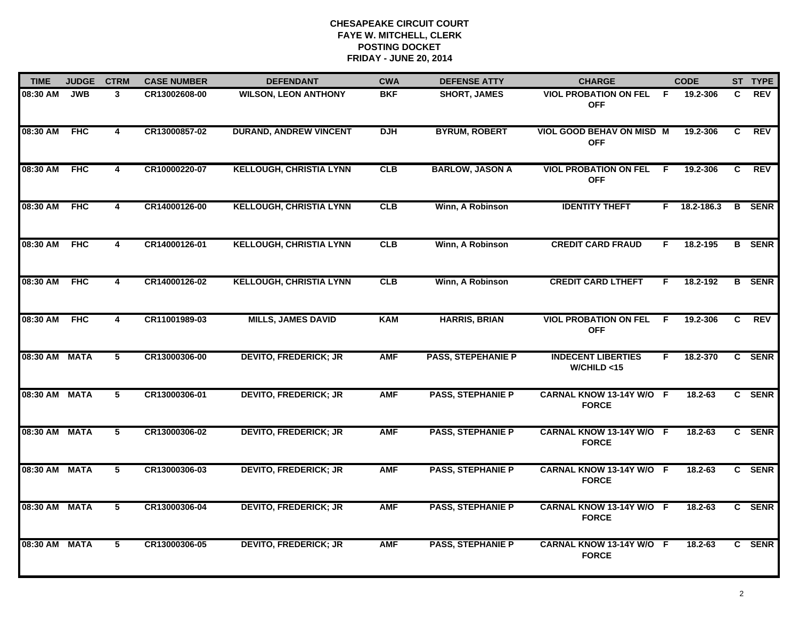| <b>TIME</b>   | <b>JUDGE</b> | <b>CTRM</b>             | <b>CASE NUMBER</b> | <b>DEFENDANT</b>               | <b>CWA</b> | <b>DEFENSE ATTY</b>       | <b>CHARGE</b>                                  |     | <b>CODE</b> |   | ST TYPE       |
|---------------|--------------|-------------------------|--------------------|--------------------------------|------------|---------------------------|------------------------------------------------|-----|-------------|---|---------------|
| 08:30 AM      | <b>JWB</b>   | 3                       | CR13002608-00      | <b>WILSON, LEON ANTHONY</b>    | <b>BKF</b> | <b>SHORT, JAMES</b>       | <b>VIOL PROBATION ON FEL</b><br><b>OFF</b>     | - F | 19.2-306    | C | <b>REV</b>    |
| 08:30 AM      | <b>FHC</b>   | $\overline{\mathbf{4}}$ | CR13000857-02      | <b>DURAND, ANDREW VINCENT</b>  | <b>DJH</b> | <b>BYRUM, ROBERT</b>      | <b>VIOL GOOD BEHAV ON MISD M</b><br><b>OFF</b> |     | 19.2-306    | C | <b>REV</b>    |
| 08:30 AM      | <b>FHC</b>   | 4                       | CR10000220-07      | <b>KELLOUGH, CHRISTIA LYNN</b> | <b>CLB</b> | <b>BARLOW, JASON A</b>    | <b>VIOL PROBATION ON FEL</b><br><b>OFF</b>     | F.  | 19.2-306    | C | <b>REV</b>    |
| 08:30 AM      | <b>FHC</b>   | 4                       | CR14000126-00      | <b>KELLOUGH, CHRISTIA LYNN</b> | CLB        | Winn, A Robinson          | <b>IDENTITY THEFT</b>                          | F.  | 18.2-186.3  | B | <b>SENR</b>   |
| 08:30 AM      | <b>FHC</b>   | 4                       | CR14000126-01      | <b>KELLOUGH, CHRISTIA LYNN</b> | CLB        | Winn, A Robinson          | <b>CREDIT CARD FRAUD</b>                       | F.  | 18.2-195    |   | <b>B</b> SENR |
| 08:30 AM      | <b>FHC</b>   | 4                       | CR14000126-02      | <b>KELLOUGH, CHRISTIA LYNN</b> | CLB        | Winn, A Robinson          | <b>CREDIT CARD LTHEFT</b>                      | F.  | 18.2-192    |   | <b>B</b> SENR |
| 08:30 AM      | <b>FHC</b>   | $\overline{\mathbf{4}}$ | CR11001989-03      | <b>MILLS, JAMES DAVID</b>      | <b>KAM</b> | <b>HARRIS, BRIAN</b>      | <b>VIOL PROBATION ON FEL</b><br><b>OFF</b>     | E   | 19.2-306    | C | REV           |
| 08:30 AM MATA |              | 5                       | CR13000306-00      | <b>DEVITO, FREDERICK; JR</b>   | <b>AMF</b> | <b>PASS, STEPEHANIE P</b> | <b>INDECENT LIBERTIES</b><br>W/CHILD < 15      | F   | 18.2-370    |   | C SENR        |
| 08:30 AM MATA |              | 5                       | CR13000306-01      | <b>DEVITO, FREDERICK; JR</b>   | <b>AMF</b> | <b>PASS, STEPHANIE P</b>  | CARNAL KNOW 13-14Y W/O F<br><b>FORCE</b>       |     | 18.2-63     |   | C SENR        |
| 08:30 AM MATA |              | 5                       | CR13000306-02      | <b>DEVITO, FREDERICK; JR</b>   | <b>AMF</b> | <b>PASS, STEPHANIE P</b>  | CARNAL KNOW 13-14Y W/O F<br><b>FORCE</b>       |     | $18.2 - 63$ |   | C SENR        |
| 08:30 AM MATA |              | 5                       | CR13000306-03      | <b>DEVITO, FREDERICK; JR</b>   | <b>AMF</b> | <b>PASS, STEPHANIE P</b>  | CARNAL KNOW 13-14Y W/O F<br><b>FORCE</b>       |     | $18.2 - 63$ |   | C SENR        |
| 08:30 AM MATA |              | 5                       | CR13000306-04      | <b>DEVITO, FREDERICK; JR</b>   | <b>AMF</b> | <b>PASS, STEPHANIE P</b>  | CARNAL KNOW 13-14Y W/O F<br><b>FORCE</b>       |     | $18.2 - 63$ |   | C SENR        |
| 08:30 AM MATA |              | 5                       | CR13000306-05      | <b>DEVITO, FREDERICK; JR</b>   | <b>AMF</b> | <b>PASS, STEPHANIE P</b>  | CARNAL KNOW 13-14Y W/O F<br><b>FORCE</b>       |     | 18.2-63     |   | C SENR        |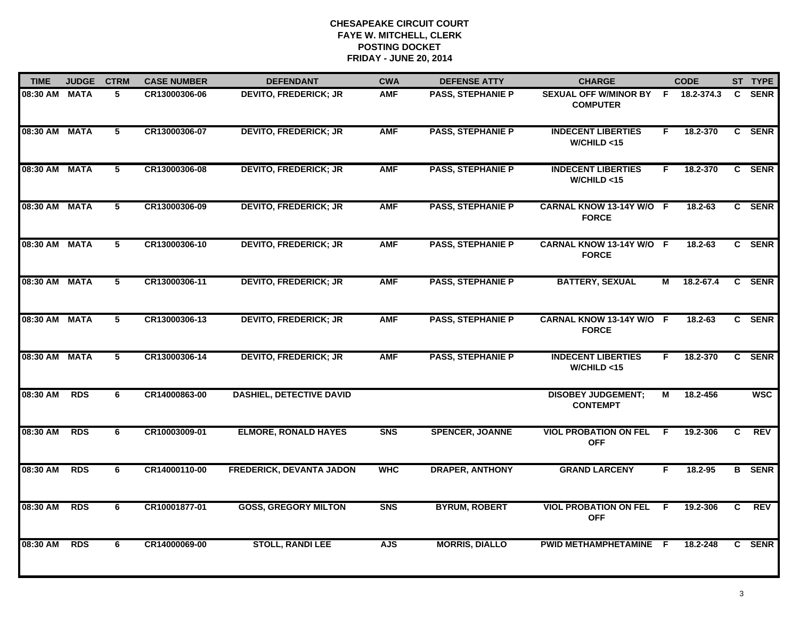| <b>TIME</b>   | <b>JUDGE</b> | <b>CTRM</b>    | <b>CASE NUMBER</b> | <b>DEFENDANT</b>                | <b>CWA</b> | <b>DEFENSE ATTY</b>      | <b>CHARGE</b>                                |    | <b>CODE</b> |    | ST TYPE       |
|---------------|--------------|----------------|--------------------|---------------------------------|------------|--------------------------|----------------------------------------------|----|-------------|----|---------------|
| 08:30 AM MATA |              | 5              | CR13000306-06      | <b>DEVITO, FREDERICK; JR</b>    | <b>AMF</b> | <b>PASS, STEPHANIE P</b> | SEXUAL OFF W/MINOR BY F<br><b>COMPUTER</b>   |    | 18.2-374.3  | C. | <b>SENR</b>   |
| 08:30 AM MATA |              | $\overline{5}$ | CR13000306-07      | <b>DEVITO, FREDERICK; JR</b>    | <b>AMF</b> | <b>PASS, STEPHANIE P</b> | <b>INDECENT LIBERTIES</b><br>W/CHILD < 15    | F. | 18.2-370    |    | C SENR        |
| 08:30 AM MATA |              | $\overline{5}$ | CR13000306-08      | <b>DEVITO, FREDERICK; JR</b>    | <b>AMF</b> | <b>PASS, STEPHANIE P</b> | <b>INDECENT LIBERTIES</b><br>W/CHILD < 15    | F. | 18.2-370    |    | C SENR        |
| 08:30 AM MATA |              | 5              | CR13000306-09      | <b>DEVITO, FREDERICK; JR</b>    | <b>AMF</b> | <b>PASS, STEPHANIE P</b> | CARNAL KNOW 13-14Y W/O F<br><b>FORCE</b>     |    | 18.2-63     |    | C SENR        |
| 08:30 AM MATA |              | 5              | CR13000306-10      | <b>DEVITO, FREDERICK; JR</b>    | <b>AMF</b> | <b>PASS, STEPHANIE P</b> | CARNAL KNOW 13-14Y W/O F<br><b>FORCE</b>     |    | $18.2 - 63$ |    | C SENR        |
| 08:30 AM MATA |              | 5              | CR13000306-11      | <b>DEVITO, FREDERICK; JR</b>    | <b>AMF</b> | <b>PASS, STEPHANIE P</b> | <b>BATTERY, SEXUAL</b>                       | М  | 18.2-67.4   |    | C SENR        |
| 08:30 AM MATA |              | 5              | CR13000306-13      | <b>DEVITO, FREDERICK; JR</b>    | <b>AMF</b> | <b>PASS, STEPHANIE P</b> | CARNAL KNOW 13-14Y W/O F<br><b>FORCE</b>     |    | 18.2-63     | C. | <b>SENR</b>   |
| 08:30 AM MATA |              | $\overline{5}$ | CR13000306-14      | <b>DEVITO, FREDERICK; JR</b>    | <b>AMF</b> | <b>PASS, STEPHANIE P</b> | <b>INDECENT LIBERTIES</b><br>W/CHILD < 15    | F. | 18.2-370    |    | C SENR        |
| 08:30 AM      | <b>RDS</b>   | 6              | CR14000863-00      | <b>DASHIEL, DETECTIVE DAVID</b> |            |                          | <b>DISOBEY JUDGEMENT;</b><br><b>CONTEMPT</b> | М  | 18.2-456    |    | <b>WSC</b>    |
| 08:30 AM      | <b>RDS</b>   | 6              | CR10003009-01      | <b>ELMORE, RONALD HAYES</b>     | <b>SNS</b> | <b>SPENCER, JOANNE</b>   | <b>VIOL PROBATION ON FEL</b><br><b>OFF</b>   | E  | 19.2-306    | C  | <b>REV</b>    |
| 08:30 AM      | <b>RDS</b>   | 6              | CR14000110-00      | <b>FREDERICK, DEVANTA JADON</b> | <b>WHC</b> | <b>DRAPER, ANTHONY</b>   | <b>GRAND LARCENY</b>                         | F. | 18.2-95     |    | <b>B</b> SENR |
| 08:30 AM      | <b>RDS</b>   | 6              | CR10001877-01      | <b>GOSS, GREGORY MILTON</b>     | <b>SNS</b> | <b>BYRUM, ROBERT</b>     | <b>VIOL PROBATION ON FEL</b><br><b>OFF</b>   | F. | 19.2-306    | C. | <b>REV</b>    |
| 08:30 AM      | <b>RDS</b>   | 6              | CR14000069-00      | <b>STOLL, RANDI LEE</b>         | <b>AJS</b> | <b>MORRIS, DIALLO</b>    | PWID METHAMPHETAMINE F                       |    | 18.2-248    |    | C SENR        |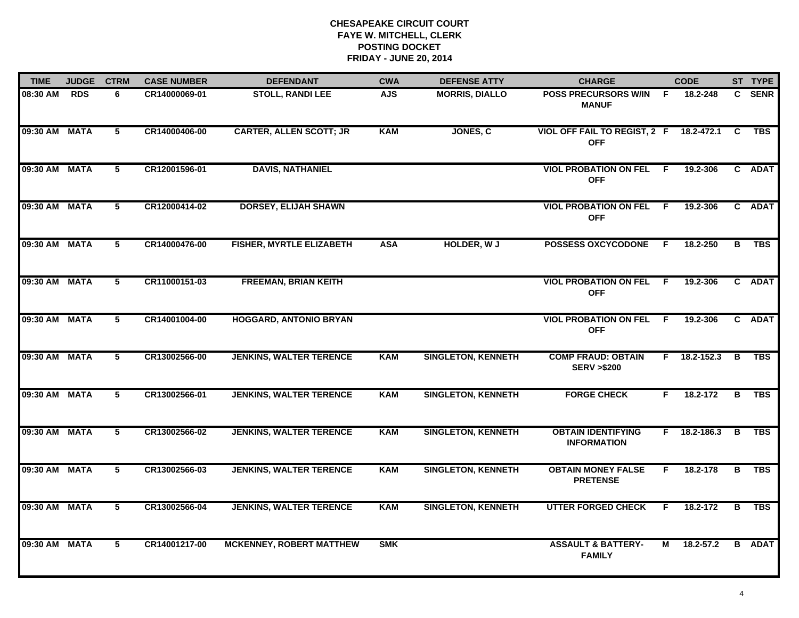| <b>TIME</b>   | <b>JUDGE</b> | <b>CTRM</b>    | <b>CASE NUMBER</b> | <b>DEFENDANT</b>                | <b>CWA</b> | <b>DEFENSE ATTY</b>       | <b>CHARGE</b>                                      |                | <b>CODE</b>        |              | ST TYPE       |
|---------------|--------------|----------------|--------------------|---------------------------------|------------|---------------------------|----------------------------------------------------|----------------|--------------------|--------------|---------------|
| 08:30 AM      | <b>RDS</b>   | 6.             | CR14000069-01      | <b>STOLL, RANDI LEE</b>         | <b>AJS</b> | <b>MORRIS, DIALLO</b>     | POSS PRECURSORS W/IN<br><b>MANUF</b>               | -F.            | 18.2-248           | $\mathbf{C}$ | <b>SENR</b>   |
| 09:30 AM MATA |              | 5              | CR14000406-00      | <b>CARTER, ALLEN SCOTT; JR</b>  | <b>KAM</b> | JONES, C                  | VIOL OFF FAIL TO REGIST, 2 F<br><b>OFF</b>         |                | 18.2-472.1         | C            | TBS           |
| 09:30 AM MATA |              | 5              | CR12001596-01      | <b>DAVIS, NATHANIEL</b>         |            |                           | <b>VIOL PROBATION ON FEL</b><br><b>OFF</b>         | - F            | 19.2-306           |              | C ADAT        |
| 09:30 AM MATA |              | 5              | CR12000414-02      | <b>DORSEY, ELIJAH SHAWN</b>     |            |                           | <b>VIOL PROBATION ON FEL</b><br><b>OFF</b>         | - F            | 19.2-306           |              | C ADAT        |
| 09:30 AM MATA |              | 5              | CR14000476-00      | <b>FISHER, MYRTLE ELIZABETH</b> | <b>ASA</b> | <b>HOLDER, WJ</b>         | <b>POSSESS OXCYCODONE</b>                          | -F             | 18.2-250           | B            | <b>TBS</b>    |
| 09:30 AM MATA |              | 5              | CR11000151-03      | <b>FREEMAN, BRIAN KEITH</b>     |            |                           | <b>VIOL PROBATION ON FEL F</b><br><b>OFF</b>       |                | 19.2-306           |              | C ADAT        |
| 09:30 AM MATA |              | $\overline{5}$ | CR14001004-00      | <b>HOGGARD, ANTONIO BRYAN</b>   |            |                           | <b>VIOL PROBATION ON FEL</b><br><b>OFF</b>         | $\overline{F}$ | 19.2-306           |              | C ADAT        |
| 09:30 AM MATA |              | 5              | CR13002566-00      | <b>JENKINS, WALTER TERENCE</b>  | <b>KAM</b> | <b>SINGLETON, KENNETH</b> | <b>COMP FRAUD: OBTAIN</b><br><b>SERV &gt;\$200</b> |                | $F = 18.2 - 152.3$ | <b>B</b>     | <b>TBS</b>    |
| 09:30 AM MATA |              | 5              | CR13002566-01      | <b>JENKINS, WALTER TERENCE</b>  | <b>KAM</b> | <b>SINGLETON, KENNETH</b> | <b>FORGE CHECK</b>                                 | F.             | 18.2-172           |              | B TBS         |
| 09:30 AM MATA |              | 5              | CR13002566-02      | <b>JENKINS, WALTER TERENCE</b>  | <b>KAM</b> | <b>SINGLETON, KENNETH</b> | <b>OBTAIN IDENTIFYING</b><br><b>INFORMATION</b>    |                | $F$ 18.2-186.3     | B            | <b>TBS</b>    |
| 09:30 AM MATA |              | 5              | CR13002566-03      | <b>JENKINS, WALTER TERENCE</b>  | <b>KAM</b> | <b>SINGLETON, KENNETH</b> | <b>OBTAIN MONEY FALSE</b><br><b>PRETENSE</b>       | F.             | 18.2-178           | В            | <b>TBS</b>    |
| 09:30 AM MATA |              | $\overline{5}$ | CR13002566-04      | <b>JENKINS, WALTER TERENCE</b>  | <b>KAM</b> | <b>SINGLETON, KENNETH</b> | <b>UTTER FORGED CHECK</b>                          | F              | 18.2-172           | В            | <b>TBS</b>    |
| 09:30 AM MATA |              | 5              | CR14001217-00      | <b>MCKENNEY, ROBERT MATTHEW</b> | <b>SMK</b> |                           | <b>ASSAULT &amp; BATTERY-</b><br><b>FAMILY</b>     | М              | 18.2-57.2          |              | <b>B</b> ADAT |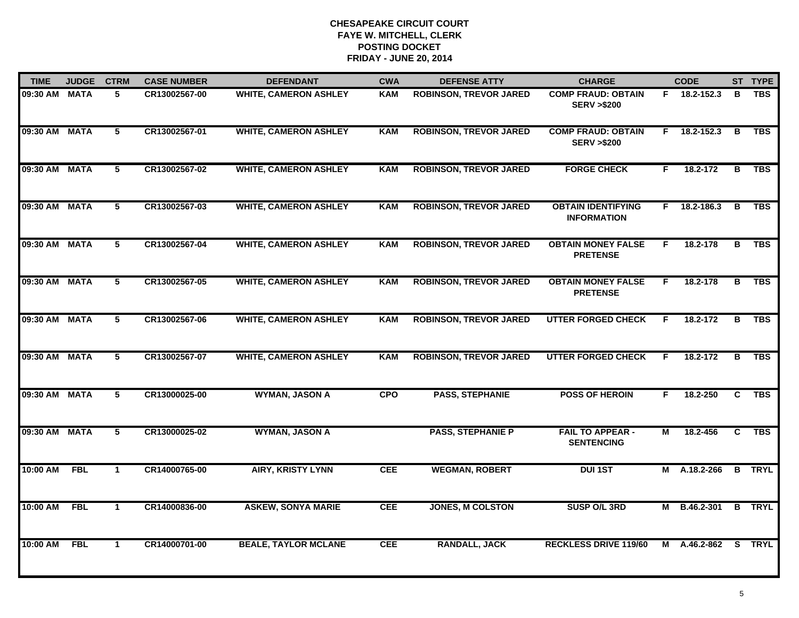| <b>TIME</b>   | <b>JUDGE</b> | <b>CTRM</b>    | <b>CASE NUMBER</b> | <b>DEFENDANT</b>             | <b>CWA</b> | <b>DEFENSE ATTY</b>           | <b>CHARGE</b>                                      |    | <b>CODE</b>    |                | ST TYPE       |
|---------------|--------------|----------------|--------------------|------------------------------|------------|-------------------------------|----------------------------------------------------|----|----------------|----------------|---------------|
| 09:30 AM MATA |              | 5              | CR13002567-00      | <b>WHITE, CAMERON ASHLEY</b> | <b>KAM</b> | <b>ROBINSON, TREVOR JARED</b> | <b>COMP FRAUD: OBTAIN</b><br><b>SERV &gt;\$200</b> |    | F 18.2-152.3   | в              | <b>TBS</b>    |
| 09:30 AM MATA |              | $\overline{5}$ | CR13002567-01      | <b>WHITE, CAMERON ASHLEY</b> | <b>KAM</b> | <b>ROBINSON, TREVOR JARED</b> | <b>COMP FRAUD: OBTAIN</b><br><b>SERV &gt;\$200</b> | F. | 18.2-152.3     | в              | <b>TBS</b>    |
| 09:30 AM MATA |              | $\overline{5}$ | CR13002567-02      | <b>WHITE, CAMERON ASHLEY</b> | <b>KAM</b> | <b>ROBINSON, TREVOR JARED</b> | <b>FORGE CHECK</b>                                 | F. | 18.2-172       | $\overline{B}$ | <b>TBS</b>    |
| 09:30 AM MATA |              | 5              | CR13002567-03      | <b>WHITE, CAMERON ASHLEY</b> | <b>KAM</b> | <b>ROBINSON, TREVOR JARED</b> | <b>OBTAIN IDENTIFYING</b><br><b>INFORMATION</b>    |    | $F$ 18.2-186.3 | B              | <b>TBS</b>    |
| 09:30 AM MATA |              | 5              | CR13002567-04      | <b>WHITE, CAMERON ASHLEY</b> | <b>KAM</b> | <b>ROBINSON, TREVOR JARED</b> | <b>OBTAIN MONEY FALSE</b><br><b>PRETENSE</b>       | F. | 18.2-178       | в              | <b>TBS</b>    |
| 09:30 AM MATA |              | 5              | CR13002567-05      | <b>WHITE, CAMERON ASHLEY</b> | <b>KAM</b> | <b>ROBINSON, TREVOR JARED</b> | <b>OBTAIN MONEY FALSE</b><br><b>PRETENSE</b>       | F. | 18.2-178       | В              | <b>TBS</b>    |
| 09:30 AM MATA |              | 5              | CR13002567-06      | <b>WHITE, CAMERON ASHLEY</b> | <b>KAM</b> | <b>ROBINSON, TREVOR JARED</b> | <b>UTTER FORGED CHECK</b>                          | F. | 18.2-172       | в              | <b>TBS</b>    |
| 09:30 AM MATA |              | $\overline{5}$ | CR13002567-07      | <b>WHITE, CAMERON ASHLEY</b> | <b>KAM</b> | <b>ROBINSON, TREVOR JARED</b> | <b>UTTER FORGED CHECK</b>                          | F  | 18.2-172       | $\overline{B}$ | <b>TBS</b>    |
| 09:30 AM MATA |              | 5              | CR13000025-00      | <b>WYMAN, JASON A</b>        | <b>CPO</b> | <b>PASS, STEPHANIE</b>        | <b>POSS OF HEROIN</b>                              | F. | 18.2-250       | C              | <b>TBS</b>    |
| 09:30 AM MATA |              | 5              | CR13000025-02      | <b>WYMAN, JASON A</b>        |            | <b>PASS, STEPHANIE P</b>      | <b>FAIL TO APPEAR -</b><br><b>SENTENCING</b>       | М  | 18.2-456       | C              | <b>TBS</b>    |
| 10:00 AM FBL  |              | $\mathbf{1}$   | CR14000765-00      | <b>AIRY, KRISTY LYNN</b>     | <b>CEE</b> | <b>WEGMAN, ROBERT</b>         | <b>DUI 1ST</b>                                     |    | M A.18.2-266   |                | <b>B</b> TRYL |
| 10:00 AM      | <b>FBL</b>   | $\mathbf{1}$   | CR14000836-00      | <b>ASKEW, SONYA MARIE</b>    | <b>CEE</b> | <b>JONES, M COLSTON</b>       | SUSP O/L 3RD                                       | м  | B.46.2-301     | $\overline{B}$ | <b>TRYL</b>   |
| 10:00 AM      | <b>FBL</b>   | $\mathbf{1}$   | CR14000701-00      | <b>BEALE, TAYLOR MCLANE</b>  | <b>CEE</b> | <b>RANDALL, JACK</b>          | <b>RECKLESS DRIVE 119/60</b>                       | M  | A.46.2-862     | S.             | <b>TRYL</b>   |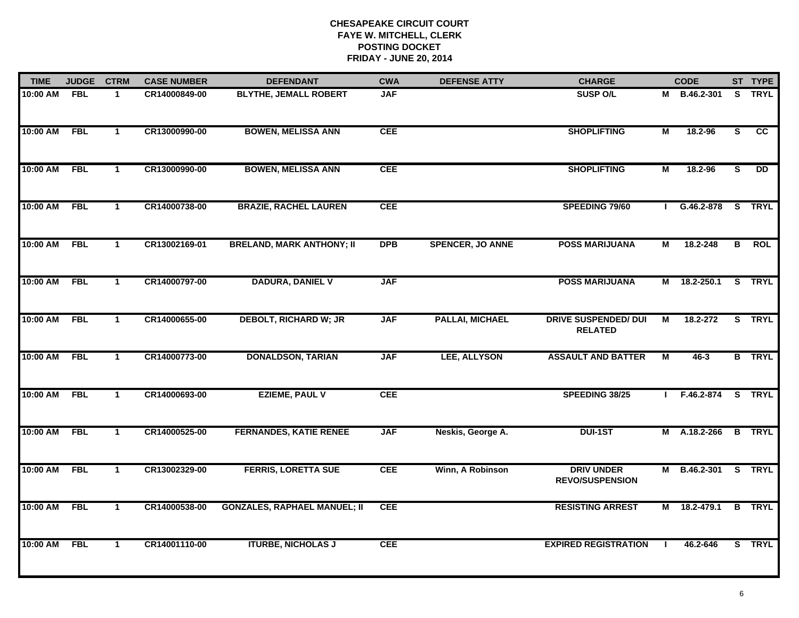| <b>TIME</b> | <b>JUDGE</b> | <b>CTRM</b>  | <b>CASE NUMBER</b> | <b>DEFENDANT</b>                    | <b>CWA</b> | <b>DEFENSE ATTY</b>     | <b>CHARGE</b>                                 |                | <b>CODE</b>         |                         | ST TYPE       |
|-------------|--------------|--------------|--------------------|-------------------------------------|------------|-------------------------|-----------------------------------------------|----------------|---------------------|-------------------------|---------------|
| 10:00 AM    | <b>FBL</b>   | -1           | CR14000849-00      | <b>BLYTHE, JEMALL ROBERT</b>        | <b>JAF</b> |                         | <b>SUSP O/L</b>                               |                | M B.46.2-301        |                         | S TRYL        |
| 10:00 AM    | <b>FBL</b>   | $\mathbf{1}$ | CR13000990-00      | <b>BOWEN, MELISSA ANN</b>           | <b>CEE</b> |                         | <b>SHOPLIFTING</b>                            | $\overline{M}$ | 18.2-96             | S                       | cc            |
| 10:00 AM    | <b>FBL</b>   | $\mathbf{1}$ | CR13000990-00      | <b>BOWEN, MELISSA ANN</b>           | <b>CEE</b> |                         | <b>SHOPLIFTING</b>                            | М              | 18.2-96             | S                       | <b>DD</b>     |
| 10:00 AM    | <b>FBL</b>   | $\mathbf 1$  | CR14000738-00      | <b>BRAZIE, RACHEL LAUREN</b>        | <b>CEE</b> |                         | SPEEDING 79/60                                |                | G.46.2-878 S TRYL   |                         |               |
| 10:00 AM    | <b>FBL</b>   | $\mathbf{1}$ | CR13002169-01      | <b>BRELAND, MARK ANTHONY; II</b>    | <b>DPB</b> | <b>SPENCER, JO ANNE</b> | <b>POSS MARIJUANA</b>                         | М              | 18.2-248            | B                       | <b>ROL</b>    |
| 10:00 AM    | <b>FBL</b>   | $\mathbf{1}$ | CR14000797-00      | <b>DADURA, DANIEL V</b>             | <b>JAF</b> |                         | <b>POSS MARIJUANA</b>                         |                | M 18.2-250.1 S TRYL |                         |               |
| 10:00 AM    | <b>FBL</b>   | $\mathbf{1}$ | CR14000655-00      | <b>DEBOLT, RICHARD W; JR</b>        | <b>JAF</b> | <b>PALLAI, MICHAEL</b>  | <b>DRIVE SUSPENDED/ DUI</b><br><b>RELATED</b> | М              | 18.2-272            |                         | S TRYL        |
| 10:00 AM    | <b>FBL</b>   | $\mathbf{1}$ | CR14000773-00      | <b>DONALDSON, TARIAN</b>            | <b>JAF</b> | LEE, ALLYSON            | <b>ASSAULT AND BATTER</b>                     | М              | 46-3                |                         | <b>B</b> TRYL |
| $10:00$ AM  | <b>FBL</b>   | $\mathbf{1}$ | CR14000693-00      | <b>EZIEME, PAUL V</b>               | <b>CEE</b> |                         | SPEEDING 38/25                                |                | F.46.2-874          |                         | S TRYL        |
| 10:00 AM    | <b>FBL</b>   | $\mathbf{1}$ | CR14000525-00      | <b>FERNANDES, KATIE RENEE</b>       | <b>JAF</b> | Neskis, George A.       | <b>DUI-1ST</b>                                |                | M A.18.2-266        |                         | <b>B</b> TRYL |
| 10:00 AM    | <b>FBL</b>   | $\mathbf 1$  | CR13002329-00      | <b>FERRIS, LORETTA SUE</b>          | <b>CEE</b> | Winn, A Robinson        | <b>DRIV UNDER</b><br><b>REVO/SUSPENSION</b>   | Μ              | B.46.2-301          | $\overline{\mathbf{s}}$ | <b>TRYL</b>   |
| 10:00 AM    | <b>FBL</b>   | $\mathbf{1}$ | CR14000538-00      | <b>GONZALES, RAPHAEL MANUEL; II</b> | <b>CEE</b> |                         | <b>RESISTING ARREST</b>                       | М              | 18.2-479.1          |                         | <b>B</b> TRYL |
| 10:00 AM    | <b>FBL</b>   | $\mathbf 1$  | CR14001110-00      | <b>ITURBE, NICHOLAS J</b>           | <b>CEE</b> |                         | <b>EXPIRED REGISTRATION</b>                   |                | 46.2-646            |                         | S TRYL        |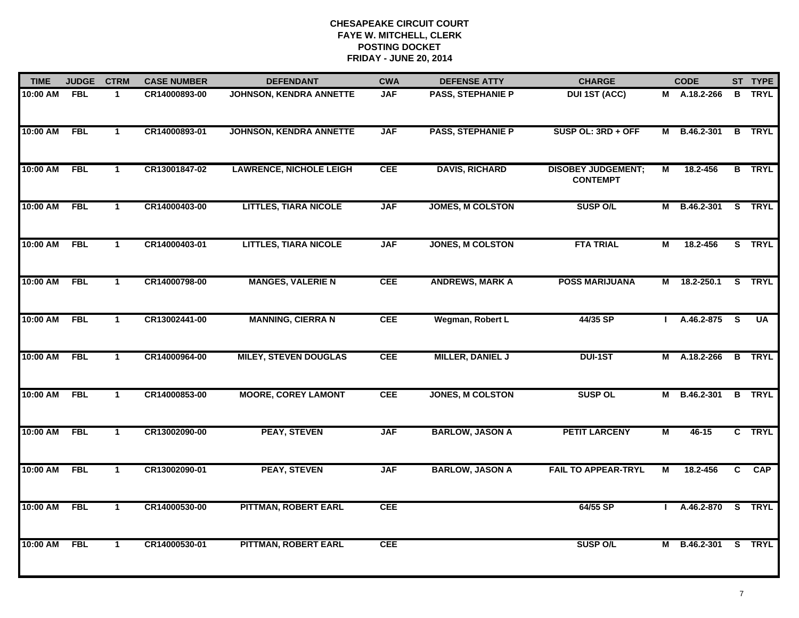| <b>TIME</b>  | <b>JUDGE</b> | <b>CTRM</b>    | <b>CASE NUMBER</b> | <b>DEFENDANT</b>               | <b>CWA</b> | <b>DEFENSE ATTY</b>      | <b>CHARGE</b>                                |   | <b>CODE</b>         |                         | ST TYPE                 |
|--------------|--------------|----------------|--------------------|--------------------------------|------------|--------------------------|----------------------------------------------|---|---------------------|-------------------------|-------------------------|
| 10:00 AM     | <b>FBL</b>   | $\mathbf{1}$   | CR14000893-00      | <b>JOHNSON, KENDRA ANNETTE</b> | <b>JAF</b> | PASS, STEPHANIE P        | <b>DUI 1ST (ACC)</b>                         |   | M A.18.2-266        |                         | <b>B</b> TRYL           |
| 10:00 AM     | FBL          | $\mathbf{1}$   | CR14000893-01      | <b>JOHNSON, KENDRA ANNETTE</b> | <b>JAF</b> | <b>PASS, STEPHANIE P</b> | SUSP OL: 3RD + OFF                           | М | B.46.2-301 B TRYL   |                         |                         |
| 10:00 AM     | <b>FBL</b>   | $\mathbf 1$    | CR13001847-02      | <b>LAWRENCE, NICHOLE LEIGH</b> | <b>CEE</b> | <b>DAVIS, RICHARD</b>    | <b>DISOBEY JUDGEMENT;</b><br><b>CONTEMPT</b> | М | 18.2-456            |                         | <b>B</b> TRYL           |
| 10:00 AM     | <b>FBL</b>   | $\mathbf{1}$   | CR14000403-00      | <b>LITTLES, TIARA NICOLE</b>   | <b>JAF</b> | <b>JOMES, M COLSTON</b>  | <b>SUSP O/L</b>                              | М | B.46.2-301          |                         | S TRYL                  |
| 10:00 AM     | <b>FBL</b>   | $\mathbf{1}$   | CR14000403-01      | <b>LITTLES, TIARA NICOLE</b>   | <b>JAF</b> | <b>JONES, M COLSTON</b>  | <b>FTA TRIAL</b>                             | М | 18.2-456            |                         | S TRYL                  |
| 10:00 AM FBL |              | $\mathbf 1$    | CR14000798-00      | <b>MANGES, VALERIE N</b>       | <b>CEE</b> | <b>ANDREWS, MARK A</b>   | <b>POSS MARIJUANA</b>                        |   | M 18.2-250.1 S TRYL |                         |                         |
| 10:00 AM     | FBL          | $\overline{1}$ | CR13002441-00      | <b>MANNING, CIERRA N</b>       | <b>CEE</b> | Wegman, Robert L         | 44/35 SP                                     |   | A.46.2-875          | $\overline{\mathbf{s}}$ | $\overline{\mathsf{U}}$ |
| 10:00 AM     | FBL          | $\mathbf{1}$   | CR14000964-00      | <b>MILEY, STEVEN DOUGLAS</b>   | <b>CEE</b> | <b>MILLER, DANIEL J</b>  | <b>DUI-1ST</b>                               |   | M A.18.2-266        |                         | <b>B</b> TRYL           |
| 10:00 AM     | <b>FBL</b>   | $\mathbf 1$    | CR14000853-00      | <b>MOORE, COREY LAMONT</b>     | <b>CEE</b> | <b>JONES, M COLSTON</b>  | <b>SUSP OL</b>                               | М | B.46.2-301          |                         | <b>B</b> TRYL           |
| 10:00 AM     | <b>FBL</b>   | $\mathbf{1}$   | CR13002090-00      | <b>PEAY, STEVEN</b>            | <b>JAF</b> | <b>BARLOW, JASON A</b>   | <b>PETIT LARCENY</b>                         | M | 46-15               |                         | C TRYL                  |
| 10:00 AM     | <b>FBL</b>   | $\mathbf{1}$   | CR13002090-01      | <b>PEAY, STEVEN</b>            | <b>JAF</b> | <b>BARLOW, JASON A</b>   | <b>FAIL TO APPEAR-TRYL</b>                   | М | 18.2-456            | C                       | CAP                     |
| 10:00 AM     | <b>FBL</b>   | $\mathbf{1}$   | CR14000530-00      | PITTMAN, ROBERT EARL           | CEE        |                          | 64/55 SP                                     |   | A.46.2-870 S TRYL   |                         |                         |
| 10:00 AM     | <b>FBL</b>   | $\mathbf{1}$   | CR14000530-01      | PITTMAN, ROBERT EARL           | <b>CEE</b> |                          | <b>SUSP O/L</b>                              |   | M B.46.2-301 S TRYL |                         |                         |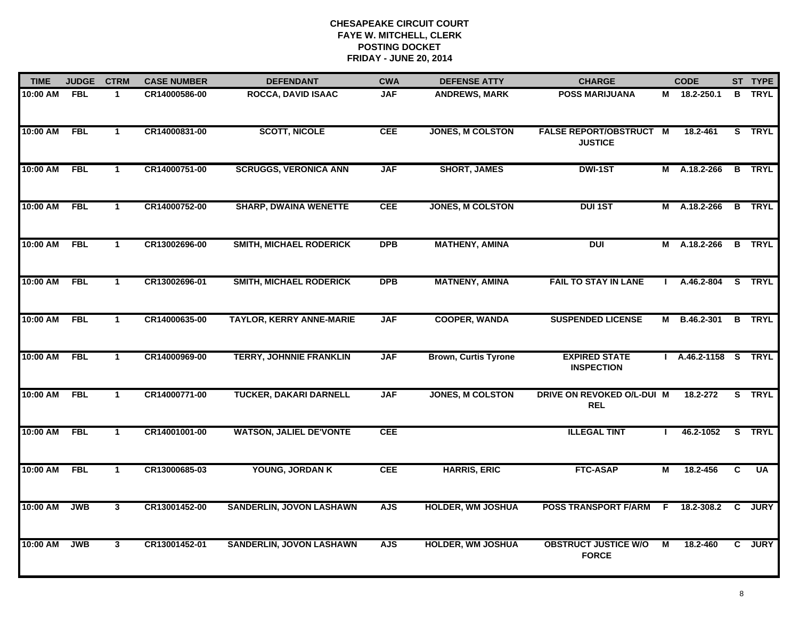| <b>TIME</b>  | <b>JUDGE</b> | <b>CTRM</b>    | <b>CASE NUMBER</b> | <b>DEFENDANT</b>                | <b>CWA</b> | <b>DEFENSE ATTY</b>         | <b>CHARGE</b>                                    |    | <b>CODE</b>          |              | ST TYPE       |
|--------------|--------------|----------------|--------------------|---------------------------------|------------|-----------------------------|--------------------------------------------------|----|----------------------|--------------|---------------|
| 10:00 AM     | <b>FBL</b>   | $\mathbf{1}$   | CR14000586-00      | <b>ROCCA, DAVID ISAAC</b>       | <b>JAF</b> | <b>ANDREWS, MARK</b>        | <b>POSS MARIJUANA</b>                            |    | M 18.2-250.1         |              | <b>B</b> TRYL |
| 10:00 AM     | <b>FBL</b>   | $\mathbf{1}$   | CR14000831-00      | <b>SCOTT, NICOLE</b>            | <b>CEE</b> | <b>JONES, M COLSTON</b>     | <b>FALSE REPORT/OBSTRUCT M</b><br><b>JUSTICE</b> |    | 18.2-461             |              | S TRYL        |
| 10:00 AM     | <b>FBL</b>   | $\mathbf{1}$   | CR14000751-00      | <b>SCRUGGS, VERONICA ANN</b>    | <b>JAF</b> | <b>SHORT, JAMES</b>         | <b>DWI-1ST</b>                                   |    | M A.18.2-266         |              | <b>B</b> TRYL |
| 10:00 AM     | <b>FBL</b>   | $\mathbf{1}$   | CR14000752-00      | <b>SHARP, DWAINA WENETTE</b>    | <b>CEE</b> | <b>JONES, M COLSTON</b>     | <b>DUI 1ST</b>                                   |    | M A.18.2-266         |              | <b>B</b> TRYL |
| 10:00 AM     | <b>FBL</b>   | $\mathbf{1}$   | CR13002696-00      | <b>SMITH, MICHAEL RODERICK</b>  | <b>DPB</b> | <b>MATHENY, AMINA</b>       | <b>DUI</b>                                       |    | M A.18.2-266         |              | <b>B</b> TRYL |
| 10:00 AM FBL |              | $\mathbf{1}$   | CR13002696-01      | <b>SMITH, MICHAEL RODERICK</b>  | <b>DPB</b> | <b>MATNENY, AMINA</b>       | <b>FAIL TO STAY IN LANE</b>                      |    | I A.46.2-804 S TRYL  |              |               |
| 10:00 AM     | <b>FBL</b>   | $\mathbf{1}$   | CR14000635-00      | <b>TAYLOR, KERRY ANNE-MARIE</b> | <b>JAF</b> | <b>COOPER, WANDA</b>        | <b>SUSPENDED LICENSE</b>                         |    | M B.46.2-301         |              | <b>B</b> TRYL |
| 10:00 AM     | FBL          | $\mathbf 1$    | CR14000969-00      | <b>TERRY, JOHNNIE FRANKLIN</b>  | <b>JAF</b> | <b>Brown, Curtis Tyrone</b> | <b>EXPIRED STATE</b><br><b>INSPECTION</b>        |    | I A.46.2-1158 S TRYL |              |               |
| 10:00 AM     | <b>FBL</b>   | 1              | CR14000771-00      | <b>TUCKER, DAKARI DARNELL</b>   | <b>JAF</b> | <b>JONES, M COLSTON</b>     | DRIVE ON REVOKED O/L-DUI M<br><b>REL</b>         |    | 18.2-272             |              | S TRYL        |
| 10:00 AM     | <b>FBL</b>   | $\mathbf{1}$   | CR14001001-00      | <b>WATSON, JALIEL DE'VONTE</b>  | <b>CEE</b> |                             | <b>ILLEGAL TINT</b>                              |    | 46.2-1052            |              | S TRYL        |
| 10:00 AM     | FBL          | $\mathbf{1}$   | CR13000685-03      | YOUNG, JORDAN K                 | <b>CEE</b> | <b>HARRIS, ERIC</b>         | <b>FTC-ASAP</b>                                  | М  | 18.2-456             | C            | UA            |
| 10:00 AM     | <b>JWB</b>   | $\overline{3}$ | CR13001452-00      | <b>SANDERLIN, JOVON LASHAWN</b> | <b>AJS</b> | <b>HOLDER, WM JOSHUA</b>    | <b>POSS TRANSPORT F/ARM</b>                      | F. | 18.2-308.2           | $\mathbf{C}$ | <b>JURY</b>   |
| 10:00 AM     | <b>JWB</b>   | $\mathbf{3}$   | CR13001452-01      | <b>SANDERLIN, JOVON LASHAWN</b> | <b>AJS</b> | <b>HOLDER, WM JOSHUA</b>    | <b>OBSTRUCT JUSTICE W/O</b><br><b>FORCE</b>      | М  | 18.2-460             | $\mathbf{c}$ | <b>JURY</b>   |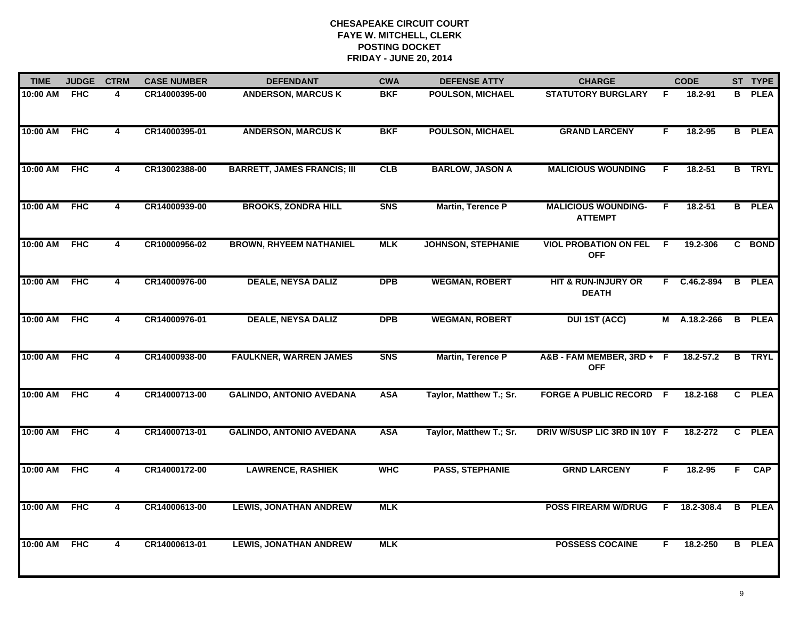| <b>TIME</b> | <b>JUDGE</b> | <b>CTRM</b>    | <b>CASE NUMBER</b> | <b>DEFENDANT</b>                   | <b>CWA</b> | <b>DEFENSE ATTY</b>       | <b>CHARGE</b>                                |    | <b>CODE</b>  |                | ST TYPE       |
|-------------|--------------|----------------|--------------------|------------------------------------|------------|---------------------------|----------------------------------------------|----|--------------|----------------|---------------|
| 10:00 AM    | <b>FHC</b>   | 4              | CR14000395-00      | <b>ANDERSON, MARCUS K</b>          | <b>BKF</b> | <b>POULSON, MICHAEL</b>   | <b>STATUTORY BURGLARY</b>                    | F  | 18.2-91      | B              | <b>PLEA</b>   |
| 10:00 AM    | <b>FHC</b>   | 4              | CR14000395-01      | <b>ANDERSON, MARCUS K</b>          | <b>BKF</b> | POULSON, MICHAEL          | <b>GRAND LARCENY</b>                         | F  | 18.2-95      |                | <b>B</b> PLEA |
| 10:00 AM    | <b>FHC</b>   | $\overline{4}$ | CR13002388-00      | <b>BARRETT, JAMES FRANCIS; III</b> | CLB        | <b>BARLOW, JASON A</b>    | <b>MALICIOUS WOUNDING</b>                    | F. | $18.2 - 51$  |                | <b>B</b> TRYL |
| 10:00 AM    | <b>FHC</b>   | 4              | CR14000939-00      | <b>BROOKS, ZONDRA HILL</b>         | <b>SNS</b> | Martin, Terence P         | <b>MALICIOUS WOUNDING-</b><br><b>ATTEMPT</b> | F. | $18.2 - 51$  |                | <b>B</b> PLEA |
| 10:00 AM    | <b>FHC</b>   | 4              | CR10000956-02      | <b>BROWN, RHYEEM NATHANIEL</b>     | <b>MLK</b> | <b>JOHNSON, STEPHANIE</b> | <b>VIOL PROBATION ON FEL</b><br><b>OFF</b>   | F  | 19.2-306     |                | C BOND        |
| 10:00 AM    | <b>FHC</b>   | 4              | CR14000976-00      | <b>DEALE, NEYSA DALIZ</b>          | <b>DPB</b> | <b>WEGMAN, ROBERT</b>     | HIT & RUN-INJURY OR<br><b>DEATH</b>          |    | F C.46.2-894 | $\overline{B}$ | <b>PLEA</b>   |
| 10:00 AM    | <b>FHC</b>   | $\overline{4}$ | CR14000976-01      | <b>DEALE, NEYSA DALIZ</b>          | <b>DPB</b> | <b>WEGMAN, ROBERT</b>     | <b>DUI 1ST (ACC)</b>                         | M  | A.18.2-266   | $\overline{B}$ | <b>PLEA</b>   |
| 10:00 AM    | <b>FHC</b>   | 4              | CR14000938-00      | <b>FAULKNER, WARREN JAMES</b>      | <b>SNS</b> | <b>Martin, Terence P</b>  | A&B-FAM MEMBER, 3RD+ F<br><b>OFF</b>         |    | 18.2-57.2    |                | <b>B</b> TRYL |
| 10:00 AM    | <b>FHC</b>   | 4              | CR14000713-00      | <b>GALINDO, ANTONIO AVEDANA</b>    | <b>ASA</b> | Taylor, Matthew T.; Sr.   | <b>FORGE A PUBLIC RECORD F</b>               |    | 18.2-168     |                | C PLEA        |
| 10:00 AM    | <b>FHC</b>   | 4              | CR14000713-01      | <b>GALINDO, ANTONIO AVEDANA</b>    | <b>ASA</b> | Taylor, Matthew T.; Sr.   | DRIV W/SUSP LIC 3RD IN 10Y F                 |    | 18.2-272     |                | C PLEA        |
| 10:00 AM    | <b>FHC</b>   | 4              | CR14000172-00      | <b>LAWRENCE, RASHIEK</b>           | <b>WHC</b> | <b>PASS, STEPHANIE</b>    | <b>GRND LARCENY</b>                          | F. | 18.2-95      | F.             | <b>CAP</b>    |
| 10:00 AM    | <b>FHC</b>   | $\overline{4}$ | CR14000613-00      | <b>LEWIS, JONATHAN ANDREW</b>      | <b>MLK</b> |                           | <b>POSS FIREARM W/DRUG</b>                   | F. | 18.2-308.4   | B              | <b>PLEA</b>   |
| 10:00 AM    | <b>FHC</b>   | 4              | CR14000613-01      | <b>LEWIS, JONATHAN ANDREW</b>      | <b>MLK</b> |                           | <b>POSSESS COCAINE</b>                       | F  | 18.2-250     |                | <b>B</b> PLEA |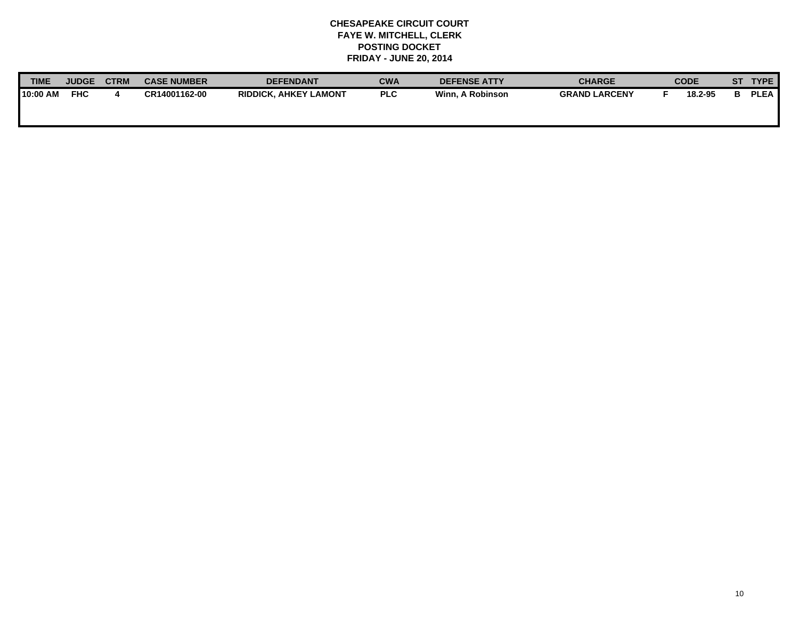| <b>TIME</b> | <b>JUDGE</b> | <b>CTRM</b> | <b>CASE NUMBER</b> | <b>DEFENDANT</b>             | <b>CWA</b> | <b>DEFENSE ATTY</b> | <b>CHARGE</b>        | <b>CODE</b> | ST | <b>TYPE</b> |
|-------------|--------------|-------------|--------------------|------------------------------|------------|---------------------|----------------------|-------------|----|-------------|
| 10:00 AM    | <b>FHC</b>   |             | CR14001162-00      | <b>RIDDICK, AHKEY LAMONT</b> | <b>PLC</b> | Winn. A Robinson    | <b>GRAND LARCENY</b> | 18.2-95     |    | <b>PLEA</b> |